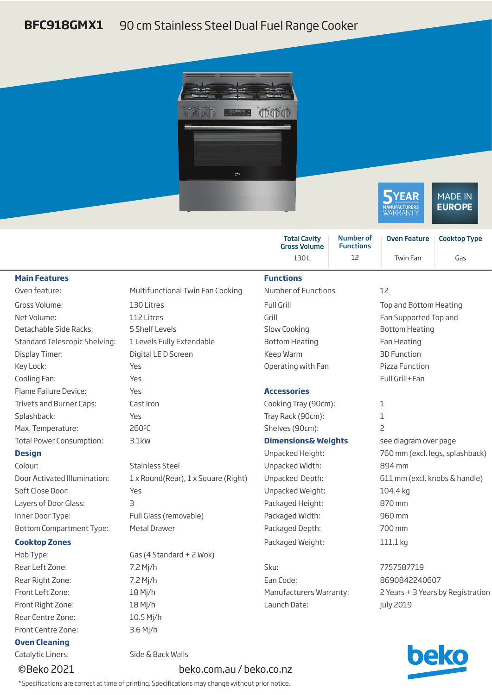## **BFC918GMX1** 90 cm Stainless Steel Dual Fuel Range Cooker





|                                 |                                     | <b>Total Cavity</b><br><b>Gross Volume</b> | <b>Number of</b><br><b>Functions</b> | <b>Oven Feature</b>               | <b>Cooktop Type</b>             |
|---------------------------------|-------------------------------------|--------------------------------------------|--------------------------------------|-----------------------------------|---------------------------------|
|                                 |                                     | 130L                                       | 12                                   | Twin Fan                          | Gas                             |
| <b>Main Features</b>            |                                     | <b>Functions</b>                           |                                      |                                   |                                 |
| Oven feature:                   | Multifunctional Twin Fan Cooking    | <b>Number of Functions</b><br>12           |                                      |                                   |                                 |
| Gross Volume:                   | 130 Litres                          | Full Grill                                 |                                      | Top and Bottom Heating            |                                 |
| Net Volume:                     | 112 Litres                          | Grill                                      |                                      | Fan Supported Top and             |                                 |
| Detachable Side Racks:          | 5 Shelf Levels                      | Slow Cooking                               |                                      | <b>Bottom Heating</b>             |                                 |
| Standard Telescopic Shelving:   | 1 Levels Fully Extendable           | <b>Bottom Heating</b>                      |                                      | Fan Heating                       |                                 |
| Display Timer:                  | Digital LE D Screen                 | Keep Warm                                  |                                      | <b>3D Function</b>                |                                 |
| Key Lock:                       | Yes                                 | Operating with Fan                         |                                      | Pizza Function                    |                                 |
| Cooling Fan:                    | Yes                                 |                                            |                                      | Full Grill+Fan                    |                                 |
| Flame Failure Device:           | Yes                                 | <b>Accessories</b>                         |                                      |                                   |                                 |
| Trivets and Burner Caps:        | Cast Iron                           | Cooking Tray (90cm):                       |                                      | 1                                 |                                 |
| Splashback:                     | Yes                                 | Tray Rack (90cm):                          |                                      | $\mathbf 1$                       |                                 |
| Max. Temperature:               | 260°C                               | Shelves (90cm):                            |                                      | $\overline{c}$                    |                                 |
| <b>Total Power Consumption:</b> | 3.1kW                               | <b>Dimensions&amp; Weights</b>             |                                      | see diagram over page             |                                 |
| <b>Design</b>                   |                                     | Unpacked Height:                           |                                      |                                   | 760 mm (excl. legs, splashback) |
| Colour:                         | <b>Stainless Steel</b>              | Unpacked Width:                            |                                      | 894 mm                            |                                 |
| Door Activated Illumination:    | 1 x Round(Rear), 1 x Square (Right) | Unpacked Depth:                            |                                      | 611 mm (excl. knobs & handle)     |                                 |
| Soft Close Door:                | Yes                                 | Unpacked Weight:                           |                                      | 104.4 kg                          |                                 |
| Layers of Door Glass:           | 3                                   | Packaged Height:                           |                                      | 870 mm                            |                                 |
| Inner Door Type:                | Full Glass (removable)              | Packaged Width:<br>960 mm                  |                                      |                                   |                                 |
| <b>Bottom Compartment Type:</b> | Metal Drawer                        | Packaged Depth:                            |                                      | 700 mm                            |                                 |
| <b>Cooktop Zones</b>            |                                     | Packaged Weight:                           |                                      | 111.1 kg                          |                                 |
| Hob Type:                       | Gas (4 Standard + 2 Wok)            |                                            |                                      |                                   |                                 |
| Rear Left Zone:                 | 7.2 Mj/h                            | Sku:                                       |                                      | 7757587719                        |                                 |
| Rear Right Zone:                | 7.2 Mj/h                            | Ean Code:                                  |                                      | 8690842240607                     |                                 |
| Front Left Zone:                | 18 Mj/h                             | Manufacturers Warranty:                    |                                      | 2 Years + 3 Years by Registration |                                 |
| Front Right Zone:               | 18 Mj/h                             | Launch Date:                               |                                      | <b>July 2019</b>                  |                                 |
| Rear Centre Zone:               | 10.5 Mj/h                           |                                            |                                      |                                   |                                 |
| <b>Front Centre Zone:</b>       | $3.6$ Mj/h                          |                                            |                                      |                                   |                                 |



Catalytic Liners: Side & Back Walls

**Oven Cleaning**

## ©Beko 2021 beko.com.au / beko.co.nz

\*Specifications are correct at time of printing. Specifications may change without prior notice.